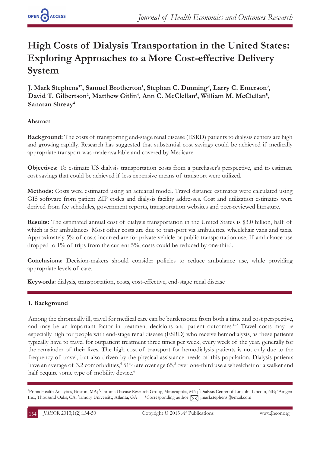# **High Costs of Dialysis Transportation in the United States: Exploring Approaches to a More Cost-effective Delivery System**

**J. Mark Stephens<sup>1\*</sup>, Samuel Brotherton<sup>1</sup>, Stephan C. Dunning<sup>2</sup>, Larry C. Emerson<sup>3</sup>,** David T. Gilbertson<sup>2</sup>, Matthew Gitlin<sup>4</sup>, Ann C. McClellan<sup>5</sup>, William M. McClellan<sup>5</sup>, **Sanatan Shreay4**

# **Abstract**

**Background:** The costs of transporting end-stage renal disease (ESRD) patients to dialysis centers are high and growing rapidly. Research has suggested that substantial cost savings could be achieved if medically appropriate transport was made available and covered by Medicare.

**Objectives:** To estimate US dialysis transportation costs from a purchaser's perspective, and to estimate cost savings that could be achieved if less expensive means of transport were utilized.

**Methods:** Costs were estimated using an actuarial model. Travel distance estimates were calculated using GIS software from patient ZIP codes and dialysis facility addresses. Cost and utilization estimates were derived from fee schedules, government reports, transportation websites and peer-reviewed literature.

**Results:** The estimated annual cost of dialysis transportation in the United States is \$3.0 billion, half of which is for ambulances. Most other costs are due to transport via ambulettes, wheelchair vans and taxis. Approximately 5% of costs incurred are for private vehicle or public transportation use. If ambulance use dropped to 1% of trips from the current 5%, costs could be reduced by one-third.

**Conclusions:** Decision-makers should consider policies to reduce ambulance use, while providing appropriate levels of care.

**Keywords:** dialysis, transportation, costs, cost-effective, end-stage renal disease

# **1. Background**

Among the chronically ill, travel for medical care can be burdensome from both a time and cost perspective, and may be an important factor in treatment decisions and patient outcomes.<sup>1-3</sup> Travel costs may be especially high for people with end-stage renal disease (ESRD) who receive hemodialysis, as these patients typically have to travel for outpatient treatment three times per week, every week of the year, generally for the remainder of their lives. The high cost of transport for hemodialysis patients is not only due to the frequency of travel, but also driven by the physical assistance needs of this population. Dialysis patients have an average of 3.2 comorbidities,<sup>4</sup> 51% are over age 65,<sup>5</sup> over one-third use a wheelchair or a walker and half require some type of mobility device.<sup>6</sup>

<sup>1</sup>Prima Health Analytics, Boston, MA; <sup>2</sup>Chronic Disease Research Group, Minneapolis, MN; <sup>3</sup>Dialysis Center of Lincoln, Lincoln, NE; <sup>4</sup>Amgen Inc., Thousand Oaks, CA; <sup>5</sup>Emory University, Atlanta, GA \*Corresponding author  $\sqrt{\phantom{a}}$  jmarkstephens@gmail.com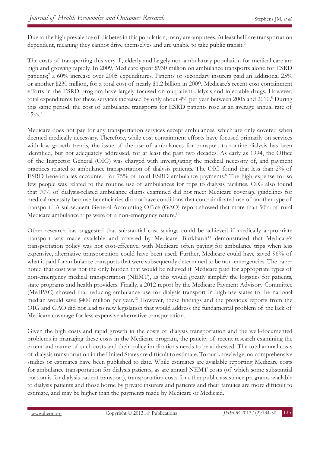Due to the high prevalence of diabetes in this population, many are amputees. At least half are transportation dependent, meaning they cannot drive themselves and are unable to take public transit.<sup>6</sup>

The costs of transporting this very ill, elderly and largely non-ambulatory population for medical care are high and growing rapidly. In 2009, Medicare spent \$930 million on ambulance transports alone for ESRD patients;<sup>7</sup> a 60% increase over 2005 expenditures. Patients or secondary insurers paid an additional 25% or another \$230 million, for a total cost of nearly \$1.2 billion in 2009. Medicare's recent cost containment efforts in the ESRD program have largely focused on outpatient dialysis and injectable drugs. However, total expenditures for these services increased by only about 4% per year between 2005 and 2010.<sup>5</sup> During this same period, the cost of ambulance transports for ESRD patients rose at an average annual rate of 15%.7

Medicare does not pay for any transportation services except ambulances, which are only covered when deemed medically necessary. Therefore, while cost containment efforts have focused primarily on services with low growth trends, the issue of the use of ambulances for transport to routine dialysis has been identified, but not adequately addressed, for at least the past two decades. As early as 1994, the Office of the Inspector General (OIG) was charged with investigating the medical necessity of, and payment practices related to ambulance transportation of dialysis patients. The OIG found that less than 2% of ESRD beneficiaries accounted for 75% of total ESRD ambulance payments.<sup>8</sup> The high expense for so few people was related to the routine use of ambulances for trips to dialysis facilities. OIG also found that 70% of dialysis-related ambulance claims examined did not meet Medicare coverage guidelines for medical necessity because beneficiaries did not have conditions that contraindicated use of another type of transport.<sup>9</sup> A subsequent General Accounting Office (GAO) report showed that more than 50% of rural Medicare ambulance trips were of a non-emergency nature.<sup>10</sup>

Other research has suggested that substantial cost savings could be achieved if medically appropriate transport was made available and covered by Medicare. Burkhardt<sup>11</sup> demonstrated that Medicare's transportation policy was not cost-effective, with Medicare often paying for ambulance trips when less expensive, alternative transportation could have been used. Further, Medicare could have saved 96% of what it paid for ambulance transports that were subsequently determined to be non-emergencies. The paper noted that cost was not the only burden that would be relieved if Medicare paid for appropriate types of non-emergency medical transportation (NEMT), as this would greatly simplify the logistics for patients, state programs and health providers. Finally, a 2012 report by the Medicare Payment Advisory Committee (MedPAC) showed that reducing ambulance use for dialysis transport in high-use states to the national median would save \$400 million per year.<sup>12</sup> However, these findings and the previous reports from the OIG and GAO did not lead to new legislation that would address the fundamental problem of the lack of Medicare coverage for less expensive alternative transportation.

Given the high costs and rapid growth in the costs of dialysis transportation and the well-documented problems in managing these costs in the Medicare program, the paucity of recent research examining the extent and nature of such costs and their policy implications needs to be addressed. The total annual costs of dialysis transportation in the United States are difficult to estimate. To our knowledge, no comprehensive studies or estimates have been published to date. While estimates are available reporting Medicare costs for ambulance transportation for dialysis patients, as are annual NEMT costs (of which some substantial portion is for dialysis patient transport), transportation costs for other public assistance programs available to dialysis patients and those borne by private insurers and patients and their families are more difficult to estimate, and may be higher than the payments made by Medicare or Medicaid.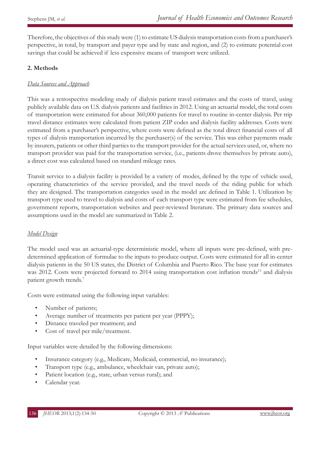Therefore, the objectives of this study were (1) to estimate US dialysis transportation costs from a purchaser's perspective, in total, by transport and payer type and by state and region, and (2) to estimate potential cost savings that could be achieved if less expensive means of transport were utilized.

# **2. Methods**

# *Data Sources and Approach*

This was a retrospective modeling study of dialysis patient travel estimates and the costs of travel, using publicly available data on U.S. dialysis patients and facilities in 2012. Using an actuarial model, the total costs of transportation were estimated for about 360,000 patients for travel to routine in-center dialysis. Per trip travel distance estimates were calculated from patient ZIP codes and dialysis facility addresses. Costs were estimated from a purchaser's perspective, where costs were defined as the total direct financial costs of all types of dialysis transportation incurred by the purchaser(s) of the service. This was either payments made by insurers, patients or other third parties to the transport provider for the actual services used, or, where no transport provider was paid for the transportation service, (i.e., patients drove themselves by private auto), a direct cost was calculated based on standard mileage rates.

Transit service to a dialysis facility is provided by a variety of modes, defined by the type of vehicle used, operating characteristics of the service provided, and the travel needs of the riding public for which they are designed. The transportation categories used in the model are defined in Table 1. Utilization by transport type used to travel to dialysis and costs of each transport type were estimated from fee schedules, government reports, transportation websites and peer-reviewed literature. The primary data sources and assumptions used in the model are summarized in Table 2.

# *Model Design*

The model used was an actuarial-type deterministic model, where all inputs were pre-defined, with predetermined application of formulae to the inputs to produce output. Costs were estimated for all in-center dialysis patients in the 50 US states, the District of Columbia and Puerto Rico. The base year for estimates was 2012. Costs were projected forward to 2014 using transportation cost inflation trends<sup>13</sup> and dialysis patient growth trends.7

Costs were estimated using the following input variables:

- Number of patients;
- Average number of treatments per patient per year (PPPY);
- Distance traveled per treatment; and
- Cost of travel per mile/treatment.

Input variables were detailed by the following dimensions:

- Insurance category (e.g., Medicare, Medicaid, commercial, no insurance);
- Transport type (e.g., ambulance, wheelchair van, private auto);
- Patient location (e.g., state, urban versus rural); and
- Calendar year.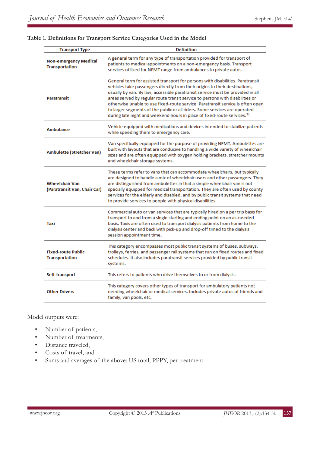#### **Table 1. Definitions for Transport Service Categories Used in the Model**

| <b>Transport Type</b>                                 | <b>Definition</b>                                                                                                                                                                                                                                                                                                                                                                                                                                                                                                                                                                       |
|-------------------------------------------------------|-----------------------------------------------------------------------------------------------------------------------------------------------------------------------------------------------------------------------------------------------------------------------------------------------------------------------------------------------------------------------------------------------------------------------------------------------------------------------------------------------------------------------------------------------------------------------------------------|
| <b>Non-emergency Medical</b><br><b>Transportation</b> | A general term for any type of transportation provided for transport of<br>patients to medical appointments on a non-emergency basis. Transport<br>services utilized for NEMT range from ambulances to private autos.                                                                                                                                                                                                                                                                                                                                                                   |
| <b>Paratransit</b>                                    | General term for assisted transport for persons with disabilities. Paratransit<br>vehicles take passengers directly from their origins to their destinations,<br>usually by van. By law, accessible paratransit service must be provided in all<br>areas served by regular route transit service to persons with disabilities or<br>otherwise unable to use fixed-route service. Paratransit service is often open<br>to larger segments of the public or all riders. Some services are operated<br>during late night and weekend hours in place of fixed-route services. <sup>31</sup> |
| <b>Ambulance</b>                                      | Vehicle equipped with medications and devices intended to stabilize patients<br>while speeding them to emergency care.                                                                                                                                                                                                                                                                                                                                                                                                                                                                  |
| <b>Ambulette (Stretcher Van)</b>                      | Van specifically equipped for the purpose of providing NEMT. Ambulettes are<br>built with layouts that are conducive to handling a wide variety of wheelchair<br>sizes and are often equipped with oxygen holding brackets, stretcher mounts<br>and wheelchair storage systems.                                                                                                                                                                                                                                                                                                         |
| <b>Wheelchair Van</b><br>(Paratransit Van, Chair Car) | These terms refer to vans that can accommodate wheelchairs, but typically<br>are designed to handle a mix of wheelchair users and other passengers. They<br>are distinguished from ambulettes in that a simple wheelchair van is not<br>specially equipped for medical transportation. They are often used by county<br>services for the elderly and disabled, and by public transit systems that need<br>to provide services to people with physical disabilities.                                                                                                                     |
| Taxi                                                  | Commercial auto or van services that are typically hired on a per trip basis for<br>transport to and from a single starting and ending point on an as-needed<br>basis. Taxis are often used to transport dialysis patients from home to the<br>dialysis center and back with pick-up and drop-off timed to the dialysis<br>session appointment time.                                                                                                                                                                                                                                    |
| <b>Fixed-route Public</b><br><b>Transportation</b>    | This category encompasses most public transit systems of buses, subways,<br>trolleys, ferries, and passenger rail systems that run on fixed routes and fixed<br>schedules. It also includes paratransit services provided by public transit<br>systems.                                                                                                                                                                                                                                                                                                                                 |
| Self-transport                                        | This refers to patients who drive themselves to or from dialysis.                                                                                                                                                                                                                                                                                                                                                                                                                                                                                                                       |
| <b>Other Drivers</b>                                  | This category covers other types of transport for ambulatory patients not<br>needing wheelchair or medical services. Includes private autos of friends and<br>family, van pools, etc.                                                                                                                                                                                                                                                                                                                                                                                                   |

Model outputs were:

- Number of patients,
- Number of treatments,
- Distance traveled,
- Costs of travel, and
- Sums and averages of the above: US total, PPPY, per treatment.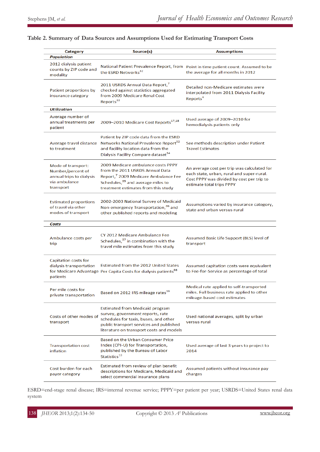| <b>Category</b>                                                                                   | Source(s)                                                                                                                                                                                                         | <b>Assumptions</b>                                                                                                                                                 |
|---------------------------------------------------------------------------------------------------|-------------------------------------------------------------------------------------------------------------------------------------------------------------------------------------------------------------------|--------------------------------------------------------------------------------------------------------------------------------------------------------------------|
| Population<br>2012 dialysis patient<br>counts by ZIP code and<br>modality                         | the ESRD Networks <sup>32</sup>                                                                                                                                                                                   | National Patient Prevalence Report, from Point in time patient count. Assumed to be<br>the average for all months in 2012                                          |
| Patient proportions by<br>insurance category                                                      | 2011 USRDS Annual Data Report, <sup>7</sup><br>checked against statistics aggregated<br>from 2009 Medicare Renal Cost<br>Reports <sup>33</sup>                                                                    | Detailed non-Medicare estimates were<br>interpolated from 2011 Dialysis Facility<br>Reports <sup>4</sup>                                                           |
| <b>Utilization</b>                                                                                |                                                                                                                                                                                                                   |                                                                                                                                                                    |
| Average number of<br>annual treatments per<br>patient                                             | 2009-2010 Medicare Cost Reports <sup>17,18</sup>                                                                                                                                                                  | Used average of 2009-2010 for<br>hemodialysis patients only                                                                                                        |
| to treatment                                                                                      | Patient by ZIP code data from the ESRD<br>Average travel distance Networks National Prevalence Report <sup>32</sup><br>and facility location data from the<br>Dialysis Facility Compare dataset <sup>34</sup>     | See methods description under Patient<br><b>Travel Estimates</b>                                                                                                   |
| Mode of transport:<br>Number/percent of<br>annual trips to dialysis<br>via ambulance<br>transport | 2009 Medicare ambulance costs PPPY<br>from the 2011 USRDS Annual Data<br>Report, <sup>7</sup> 2009 Medicare Ambulance Fee<br>Schedules, <sup>35</sup> and average miles to<br>treatment estimates from this study | An average cost per trip was calculated for<br>each state, urban, rural and super-rural.<br>Cost PPPY was divided by cost per trip to<br>estimate total trips PPPY |
| <b>Estimated proportions</b><br>of travel via other<br>modes of transport                         | 2002-2003 National Survey of Medicaid<br>Non-emergency Transportation, <sup>36</sup> and<br>other published reports and modeling                                                                                  | Assumptions varied by insurance category,<br>state and urban versus rural                                                                                          |
| Costs                                                                                             |                                                                                                                                                                                                                   |                                                                                                                                                                    |
| Ambulance costs per<br>trip                                                                       | CY 2012 Medicare Ambulance Fee<br>Schedules, <sup>37</sup> in combination with the<br>travel mile estimates from this study                                                                                       | Assumed Basic Life Support (BLS) level of<br>transport                                                                                                             |
| Capitation costs for<br>dialysis transportation<br>patients                                       | Estimated from the 2012 United States<br>for Medicare Advantage Per Capita Costs for dialysis patients <sup>38</sup>                                                                                              | Assumed capitation costs were equivalent<br>to Fee-for-Service as percentage of total                                                                              |
| Per mile costs for<br>private transportation                                                      | Based on 2012 IRS mileage rates <sup>39</sup>                                                                                                                                                                     | Medical rate applied to self-transported<br>miles. Full business rate applied to other<br>mileage-based cost estimates                                             |
| Costs of other modes of<br>transport                                                              | <b>Estimated from Medicaid program</b><br>survey, government reports, rate<br>schedules for taxis, buses, and other<br>public transport services and published<br>literature on transport costs and models        | Used national averages, split by urban<br>versus rural                                                                                                             |
| <b>Transportation cost</b><br>inflation                                                           | Based on the Urban Consumer Price<br>Index (CPI-U) for Transportation,<br>published by the Bureau of Labor<br>Statistics <sup>13</sup>                                                                            | Used average of last 3 years to project to<br>2014                                                                                                                 |
| Cost burden for each<br>payer category                                                            | Estimated from review of plan benefit<br>descriptions for Medicare, Medicaid and<br>select commercial insurance plans                                                                                             | Assumed patients without insurance pay<br>charges                                                                                                                  |

## **Table 2. Summary of Data Sources and Assumptions Used for Estimating Transport Costs**

ESRD=end-stage renal disease; IRS=internal revenue service; PPPY=per patient per year; USRDS=United States renal data system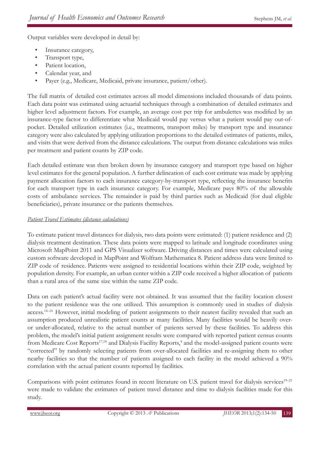Output variables were developed in detail by:

- Insurance category,
- Transport type,
- Patient location,
- Calendar year, and
- Payer (e.g., Medicare, Medicaid, private insurance, patient/other).

The full matrix of detailed cost estimates across all model dimensions included thousands of data points. Each data point was estimated using actuarial techniques through a combination of detailed estimates and higher level adjustment factors. For example, an average cost per trip for ambulettes was modified by an insurance-type factor to differentiate what Medicaid would pay versus what a patient would pay out-ofpocket. Detailed utilization estimates (i.e., treatments, transport miles) by transport type and insurance category were also calculated by applying utilization proportions to the detailed estimates of patients, miles, and visits that were derived from the distance calculations. The output from distance calculations was miles per treatment and patient counts by ZIP code.

Each detailed estimate was then broken down by insurance category and transport type based on higher level estimates for the general population. A further delineation of each cost estimate was made by applying payment allocation factors to each insurance category-by-transport type, reflecting the insurance benefits for each transport type in each insurance category. For example, Medicare pays 80% of the allowable costs of ambulance services. The remainder is paid by third parties such as Medicaid (for dual eligible beneficiaries), private insurance or the patients themselves.

## *Patient Travel Estimates (distance calculations)*

To estimate patient travel distances for dialysis, two data points were estimated: (1) patient residence and (2) dialysis treatment destination. These data points were mapped to latitude and longitude coordinates using Microsoft MapPoint 2011 and GPS Visualizer software. Driving distances and times were calculated using custom software developed in MapPoint and Wolfram Mathematica 8. Patient address data were limited to ZIP code of residence. Patients were assigned to residential locations within their ZIP code, weighted by population density. For example, an urban center within a ZIP code received a higher allocation of patients than a rural area of the same size within the same ZIP code.

Data on each patient's actual facility were not obtained. It was assumed that the facility location closest to the patient residence was the one utilized. This assumption is commonly used in studies of dialysis access.<sup>14–16</sup> However, initial modeling of patient assignments to their nearest facility revealed that such an assumption produced unrealistic patient counts at many facilities. Many facilities would be heavily overor under-allocated, relative to the actual number of patients served by these facilities. To address this problem, the model's initial patient assignment results were compared with reported patient census counts from Medicare Cost Reports<sup>17,18</sup> and Dialysis Facility Reports,<sup>4</sup> and the model-assigned patient counts were "corrected" by randomly selecting patients from over-allocated facilities and re-assigning them to other nearby facilities so that the number of patients assigned to each facility in the model achieved a 90% correlation with the actual patient counts reported by facilities.

Comparisons with point estimates found in recent literature on U.S. patient travel for dialysis services<sup>19–21</sup> were made to validate the estimates of patient travel distance and time to dialysis facilities made for this study.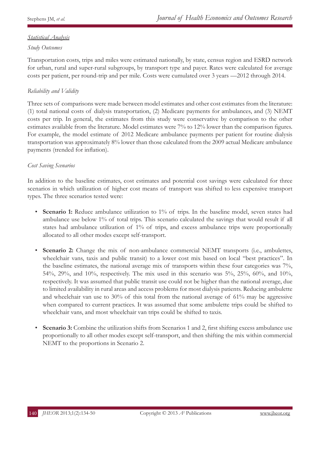# *Statistical Analysis*

# *Study Outcomes*

Transportation costs, trips and miles were estimated nationally, by state, census region and ESRD network for urban, rural and super-rural subgroups, by transport type and payer. Rates were calculated for average costs per patient, per round-trip and per mile. Costs were cumulated over 3 years —2012 through 2014.

# *Reliability and Validity*

Three sets of comparisons were made between model estimates and other cost estimates from the literature: (1) total national costs of dialysis transportation, (2) Medicare payments for ambulances, and (3) NEMT costs per trip. In general, the estimates from this study were conservative by comparison to the other estimates available from the literature. Model estimates were 7% to 12% lower than the comparison figures. For example, the model estimate of 2012 Medicare ambulance payments per patient for routine dialysis transportation was approximately 8% lower than those calculated from the 2009 actual Medicare ambulance payments (trended for inflation).

## *Cost Saving Scenarios*

In addition to the baseline estimates, cost estimates and potential cost savings were calculated for three scenarios in which utilization of higher cost means of transport was shifted to less expensive transport types. The three scenarios tested were:

- **Scenario 1:** Reduce ambulance utilization to 1% of trips. In the baseline model, seven states had ambulance use below 1% of total trips. This scenario calculated the savings that would result if all states had ambulance utilization of 1% of trips, and excess ambulance trips were proportionally allocated to all other modes except self-transport.
- **Scenario 2:** Change the mix of non-ambulance commercial NEMT transports (i.e., ambulettes, wheelchair vans, taxis and public transit) to a lower cost mix based on local "best practices". In the baseline estimates, the national average mix of transports within these four categories was 7%, 54%, 29%, and 10%, respectively. The mix used in this scenario was 5%, 25%, 60%, and 10%, respectively. It was assumed that public transit use could not be higher than the national average, due to limited availability in rural areas and access problems for most dialysis patients. Reducing ambulette and wheelchair van use to 30% of this total from the national average of 61% may be aggressive when compared to current practices. It was assumed that some ambulette trips could be shifted to wheelchair vans, and most wheelchair van trips could be shifted to taxis.
- **Scenario 3:** Combine the utilization shifts from Scenarios 1 and 2, first shifting excess ambulance use proportionally to all other modes except self-transport, and then shifting the mix within commercial NEMT to the proportions in Scenario 2.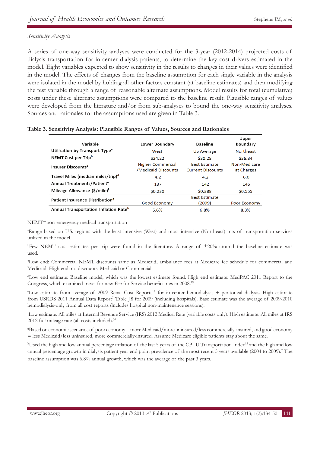# *Sensitivity Analysis*

A series of one-way sensitivity analyses were conducted for the 3-year (2012-2014) projected costs of dialysis transportation for in-center dialysis patients, to determine the key cost drivers estimated in the model. Eight variables expected to show sensitivity in the results to changes in their values were identified in the model. The effects of changes from the baseline assumption for each single variable in the analysis were isolated in the model by holding all other factors constant (at baseline estimates) and then modifying the test variable through a range of reasonable alternate assumptions. Model results for total (cumulative) costs under these alternate assumptions were compared to the baseline result. Plausible ranges of values were developed from the literature and/or from sub-analyses to bound the one-way sensitivity analyses. Sources and rationales for the assumptions used are given in Table 3.

| Variable                                          | Lower Boundary                           | <b>Baseline</b>                                  | Upper<br><b>Boundary</b>   |
|---------------------------------------------------|------------------------------------------|--------------------------------------------------|----------------------------|
| Utilization by Transport Type <sup>a</sup>        | West                                     | <b>US Average</b>                                | <b>Northeast</b>           |
| NEMT Cost per Trip <sup>b</sup>                   | \$24.22                                  | \$30.28                                          | \$36.34                    |
| <b>Insurer Discounts<sup>c</sup></b>              | Higher Commercial<br>/Medicaid Discounts | <b>Best Estimate</b><br><b>Current Discounts</b> | Non-Medicare<br>at Charges |
| Travel Miles (median miles/trip) <sup>d</sup>     | 4.2                                      | 4.2                                              | 6.0                        |
| Annual Treatments/Patient <sup>e</sup>            | 137                                      | 142                                              | 146                        |
| Mileage Allowance (\$/mile) <sup>f</sup>          | \$0.230                                  | \$0.388                                          | \$0.555                    |
| Patient Insurance Distribution <sup>8</sup>       | Good Economy                             | <b>Best Estimate</b><br>(2009)                   | Poor Economy               |
| Annual Transportation Inflation Rate <sup>h</sup> | 5.6%                                     | 6.8%                                             | 8.3%                       |

#### **Table 3. Sensitivity Analysis: Plausible Ranges of Values, Sources and Rationales**

NEMT=non-emergency medical transportation

a Range based on U.S. regions with the least intensive (West) and most intensive (Northeast) mix of transportation services utilized in the model.

b Few NEMT cost estimates per trip were found in the literature. A range of ±20% around the baseline estimate was used.

c Low end: Commercial NEMT discounts same as Medicaid, ambulance fees at Medicare fee schedule for commercial and Medicaid. High end: no discounts, Medicaid or Commercial.

d Low end estimate: Baseline model, which was the lowest estimate found. High end estimate: MedPAC 2011 Report to the Congress, which examined travel for new Fee for Service beneficiaries in 2008.19

<sup>e</sup>Low estimate from average of 2009 Renal Cost Reports<sup>17</sup> for in-center hemodialysis + peritoneal dialysis. High estimate from USRDS 2011 Annual Data Report<sup>7</sup> Table J.8 for 2009 (including hospitals). Base estimate was the average of 2009-2010 hemodialysis-only from all cost reports (includes hospital non-maintenance sessions).

f Low estimate: All miles at Internal Revenue Service (IRS) 2012 Medical Rate (variable costs only). High estimate: All miles at IRS 2012 full mileage rate (all costs included).<sup>39</sup>

g Based on economic scenarios of poor economy = more Medicaid/more uninsured/less commercially-insured, and good economy = less Medicaid/less uninsured, more commercially-insured. Assume Medicare eligible patients stay about the same.

<sup>h</sup>Used the high and low annual percentage inflation of the last 5 years of the CPI-U Transportation Index<sup>13</sup> and the high and low annual percentage growth in dialysis patient year-end point prevalence of the most recent 5 years available (2004 to 2009).7 The baseline assumption was 6.8% annual growth, which was the average of the past 3 years.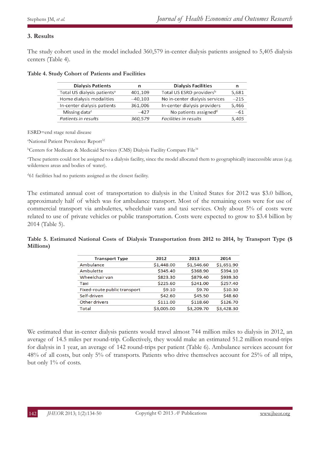# **3. Results**

The study cohort used in the model included 360,579 in-center dialysis patients assigned to 5,405 dialysis centers (Table 4).

| n         | <b>Dialysis Facilities</b>           |        |
|-----------|--------------------------------------|--------|
| 401,109   | Total US ESRD providers <sup>b</sup> | 5.681  |
| $-40,103$ | No in-center dialysis services       | $-215$ |
| 361,006   | In-center dialysis providers         | 5,466  |
| $-427$    | No patients assigned <sup>d</sup>    | $-61$  |
| 360,579   | Facilities in results                | 5,405  |
|           |                                      |        |

### **Table 4. Study Cohort of Patients and Facilities**

ESRD=end stage renal disease

<sup>a</sup>National Patient Prevalence Report<sup>32</sup>

<sup>b</sup>Centers for Medicare & Medicaid Services (CMS) Dialysis Facility Compare File<sup>34</sup>

c These patients could not be assigned to a dialysis facility, since the model allocated them to geographically inaccessible areas (e.g. wilderness areas and bodies of water).

<sup>d</sup>61 facilities had no patients assigned as the closest facility.

The estimated annual cost of transportation to dialysis in the United States for 2012 was \$3.0 billion, approximately half of which was for ambulance transport. Most of the remaining costs were for use of commercial transport via ambulettes, wheelchair vans and taxi services. Only about 5% of costs were related to use of private vehicles or public transportation. Costs were expected to grow to \$3.4 billion by 2014 (Table 5).

**Table 5. Estimated National Costs of Dialysis Transportation from 2012 to 2014, by Transport Type (\$ Millions)**

| <b>Transport Type</b>        | 2012       | 2013       | 2014       |
|------------------------------|------------|------------|------------|
| Ambulance                    | \$1,448.00 | \$1,546.60 | \$1,651.90 |
| Ambulette                    | \$345.40   | \$368.90   | \$394.10   |
| Wheelchair van               | \$823.30   | \$879.40   | \$939.30   |
| Taxi                         | \$225.60   | \$241.00   | \$257.40   |
| Fixed-route public transport | \$9.10     | \$9.70     | \$10.30    |
| Self-driven                  | \$42.60    | \$45.50    | \$48.60    |
| Other drivers                | \$111.00   | \$118.60   | \$126.70   |
| Total                        | \$3,005.00 | \$3,209.70 | \$3,428.30 |

We estimated that in-center dialysis patients would travel almost 744 million miles to dialysis in 2012, an average of 14.5 miles per round-trip. Collectively, they would make an estimated 51.2 million round-trips for dialysis in 1 year, an average of 142 round-trips per patient (Table 6). Ambulance services account for 48% of all costs, but only 5% of transports. Patients who drive themselves account for 25% of all trips, but only 1% of costs.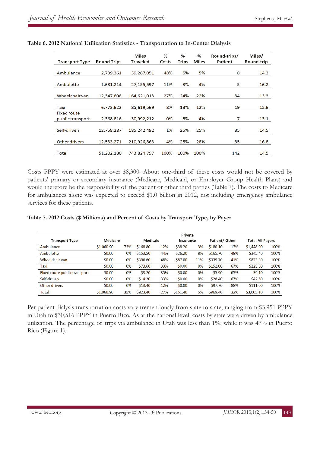| <b>Transport Type</b>                  | <b>Round Trips</b> | Miles<br><b>Traveled</b> | %<br>Costs | %<br><b>Trips</b> | %<br>Miles | Round-trips/<br>Patient | Miles/<br>Round-trip |
|----------------------------------------|--------------------|--------------------------|------------|-------------------|------------|-------------------------|----------------------|
| Ambulance                              | 2,739,361          | 39,267,051               | 48%        | 5%                | 5%         | 8                       | 14.3                 |
| Ambulette                              | 1,681,214          | 27,155,597               | 11%        | 3%                | 4%         | 5                       | 16.2                 |
| Wheelchairvan                          | 12,347,608         | 164,621,013              | 27%        | 24%               | 22%        | 34                      | 13.3                 |
| Taxi                                   | 6,773,622          | 85,619,569               | 8%         | 13%               | 12%        | 19                      | 12.6                 |
| <b>Fixed route</b><br>public transport | 2,368,816          | 30,992,212               | 0%         | 5%                | 4%         | 7                       | 13.1                 |
| Self-driven                            | 12,758,287         | 185,242,492              | 1%         | 25%               | 25%        | 35                      | 14.5                 |
| <b>Other drivers</b>                   | 12,533,271         | 210,926,863              | 4%         | 25%               | 28%        | 35                      | 16.8                 |
| <b>Total</b>                           | 51,202,180         | 743,824,797              | 100%       | 100%              | 100%       | 142                     | 14.5                 |

## **Table 6. 2012 National Utilization Statistics - Transportation to In-Center Dialysis**

Costs PPPY were estimated at over \$8,300. About one-third of these costs would not be covered by patients' primary or secondary insurance (Medicare, Medicaid, or Employer Group Health Plans) and would therefore be the responsibility of the patient or other third parties (Table 7). The costs to Medicare for ambulances alone was expected to exceed \$1.0 billion in 2012, not including emergency ambulance services for these patients.

### **Table 7. 2012 Costs (\$ Millions) and Percent of Costs by Transport Type, by Payer**

|                              | Private    |     |          |     |           |     |               |     |                         |      |
|------------------------------|------------|-----|----------|-----|-----------|-----|---------------|-----|-------------------------|------|
| <b>Transport Type</b>        | Medicare   |     | Medicaid |     | Insurance |     | Patient/Other |     | <b>Total All Payers</b> |      |
| Ambulance                    | \$1,060.90 | 73% | \$168.80 | 12% | \$38.20   | 3%  | \$180.10      | 12% | \$1,448.00              | 100% |
| Ambulette                    | \$0.00     | 0%  | \$153.50 | 44% | \$26.20   | 8%  | \$165.70      | 48% | \$345.40                | 100% |
| Wheelchair van               | \$0.00     | 0%  | \$396.60 | 48% | \$87.00   | 11% | \$339.70      | 41% | \$823.30                | 100% |
| Taxi                         | \$0.00     | 0%  | \$73.60  | 33% | \$0.00    | 0%  | \$152.00      | 67% | \$225.60                | 100% |
| Fixed route public transport | \$0.00     | 0%  | \$3.20   | 35% | \$0.00    | 0%  | \$5.90        | 65% | \$9.10                  | 100% |
| Self-driven                  | \$0.00     | 0%  | \$14.20  | 33% | \$0.00    | 0%  | \$28.40       | 67% | \$42.60                 | 100% |
| Other drivers                | \$0.00     | 0%  | \$13.40  | 12% | \$0.00    | 0%  | \$97.70       | 88% | \$111.00                | 100% |
| Total                        | \$1.060.90 | 35% | \$823.40 | 27% | \$151.40  | 5%  | \$969.40      | 32% | \$3,005.10              | 100% |

Per patient dialysis transportation costs vary tremendously from state to state, ranging from \$3,951 PPPY in Utah to \$30,516 PPPY in Puerto Rico. As at the national level, costs by state were driven by ambulance utilization. The percentage of trips via ambulance in Utah was less than 1%, while it was 47% in Puerto Rico (Figure 1).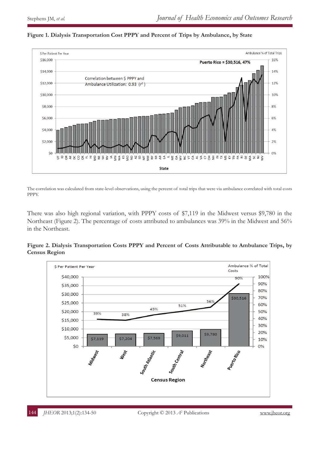

### **Figure 1. Dialysis Transportation Cost PPPY and Percent of Trips by Ambulance, by State**

The correlation was calculated from state-level observations, using the percent of total trips that were via ambulance correlated with total costs PPPY.

There was also high regional variation, with PPPY costs of \$7,119 in the Midwest versus \$9,780 in the Northeast (Figure 2). The percentage of costs attributed to ambulances was 39% in the Midwest and 56% in the Northeast.

**Figure 2. Dialysis Transportation Costs PPPY and Percent of Costs Attributable to Ambulance Trips, by Census Region**

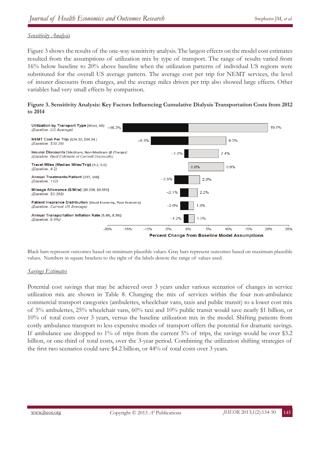## *Sensitivity Analysis*

Figure 3 shows the results of the one-way sensitivity analysis. The largest effects on the model cost estimates resulted from the assumptions of utilization mix by type of transport. The range of results varied from 16% below baseline to 20% above baseline when the utilization patterns of individual US regions were substituted for the overall US average pattern. The average cost per trip for NEMT services, the level of insurer discounts from charges, and the average miles driven per trip also showed large effects. Other variables had very small effects by comparison.





Black bars represent outcomes based on minimum plausible values. Gray bars represent outcomes based on maximum plausible values. Numbers in square brackets to the right of the labels denote the range of values used.

## *Savings Estimates*

Potential cost savings that may be achieved over 3 years under various scenarios of changes in service utilization mix are shown in Table 8. Changing the mix of services within the four non-ambulance commercial transport categories (ambulettes, wheelchair vans, taxis and public transit) to a lower cost mix of 5% ambulettes, 25% wheelchair vans, 60% taxi and 10% public transit would save nearly \$1 billion, or 10% of total costs over 3 years, versus the baseline utilization mix in the model. Shifting patients from costly ambulance transport to less expensive modes of transport offers the potential for dramatic savings. If ambulance use dropped to 1% of trips from the current 5% of trips, the savings would be over \$3.2 billion, or one-third of total costs, over the 3-year period. Combining the utilization shifting strategies of the first two scenarios could save \$4.2 billion, or 44% of total costs over 3 years.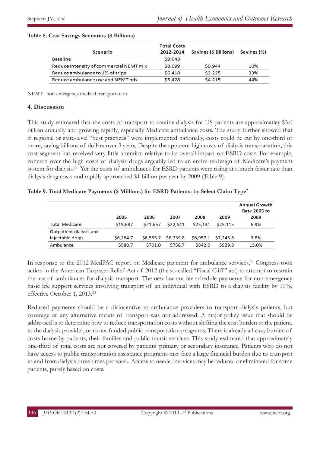#### **Table 8. Cost Savings Scenarios (\$ Billions)**

|                                         | <b>Total Costs</b> |                       |             |
|-----------------------------------------|--------------------|-----------------------|-------------|
| Scenario                                | 2012-2014          | Savings (\$ Billions) | Savings (%) |
| <b>Baseline</b>                         | \$9.643            |                       |             |
| Reduce intensity of commercial NEMT mix | \$8.699            | \$0.944               | 10%         |
| Reduce ambulance to 1% of trips         | \$6.418            | \$3.225               | 33%         |
| Reduce ambulance use and NEMT mix       | \$5.428            | \$4.215               | 44%         |

NEMT=non-emergency medical transportation

## **4. Discussion**

This study estimated that the costs of transport to routine dialysis for US patients are approximatley \$3.0 billion annually and growing rapidly, especially Medicare ambulance costs. The study further showed that if regional or state-level "best practices" were implemented nationally, costs could be cut by one-third or more, saving billions of dollars over 3 years. Despite the apparent high costs of dialysis transportation, this cost segment has received very little attention relative to its overall impact on ESRD costs. For example, concern over the high costs of dialysis drugs arguably led to an entire re-design of Medicare's payment system for dialysis.<sup>22</sup> Yet the costs of ambulances for ESRD patients were rising at a much faster rate than dialysis drug costs and rapidly approached \$1 billion per year by 2009 (Table 9).

## **Table 9. Total Medicare Payments (\$ Millions) for ESRD Patients: by Select Claim Type7**

|                         | 2005      | 2006      | 2007      | 2008      | 2009      | <b>Annual Growth</b><br>Rate 2005 to<br>2009 |
|-------------------------|-----------|-----------|-----------|-----------|-----------|----------------------------------------------|
| <b>Total Medicare</b>   | \$19,687  | \$21,657  | \$22,641  | \$25,131  | \$25.115  | 6.9%                                         |
| Outpatient dialysis and |           |           |           |           |           |                                              |
| injectable drugs        | \$6,284.7 | \$6,585.7 | \$6,739.8 | \$6,957.1 | \$7,245.8 | 3.8%                                         |
| Ambulance               | \$580.7   | \$701.0   | \$758.7   | \$842.0   | \$929.8   | 15.0%                                        |

In response to the 2012 MedPAC report on Medicare payment for ambulance services,<sup>12</sup> Congress took action in the American Taxpayer Relief Act of 2012 (the so-called "Fiscal Cliff " act) to attempt to restrain the use of ambulances for dialysis transport. The new law cut fee schedule payments for non-emergency basic life support services involving transport of an individual with ESRD to a dialysis facility by 10%, effective October 1, 2013.<sup>23</sup>

Reduced payments should be a disincentive to ambulance providers to transport dialysis patients, but coverage of any alternative means of transport was not addressed. A major policy issue that should be addressed is to determine how to reduce transportation costs without shifting the cost burden to the patient, to the dialysis provider, or to tax-funded public transportation programs. There is already a heavy burden of costs borne by patients, their families and public transit services. This study estimated that approximately one-third of total costs are not covered by patients' primary or secondary insurance. Patients who do not have access to public transportation assistance programs may face a large financial burden due to transport to and from dialysis three times per week. Access to needed services may be reduced or eliminated for some patients, purely based on costs.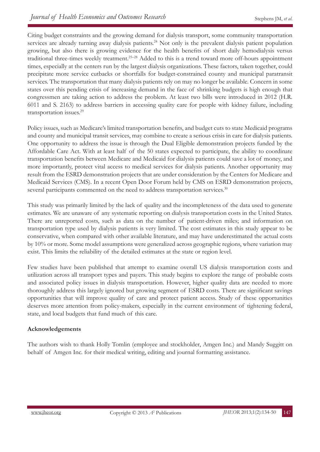Citing budget constraints and the growing demand for dialysis transport, some community transportation services are already turning away dialysis patients.<sup>24</sup> Not only is the prevalent dialysis patient population growing, but also there is growing evidence for the health benefits of short daily hemodialysis versus traditional three-times weekly treatment.<sup>25–28</sup> Added to this is a trend toward more off-hours appointment times, especially at the centers run by the largest dialysis organizations. These factors, taken together, could precipitate more service cutbacks or shortfalls for budget-constrained county and municipal paratransit services. The transportation that many dialysis patients rely on may no longer be available. Concern in some states over this pending crisis of increasing demand in the face of shrinking budgets is high enough that congressmen are taking action to address the problem. At least two bills were introduced in 2012 (H.R. 6011 and S. 2163) to address barriers in accessing quality care for people with kidney failure, including transportation issues.<sup>29</sup>

Policy issues, such as Medicare's limited transportation benefits, and budget cuts to state Medicaid programs and county and municipal transit services, may combine to create a serious crisis in care for dialysis patients. One opportunity to address the issue is through the Dual Eligible demonstration projects funded by the Affordable Care Act. With at least half of the 50 states expected to participate, the ability to coordinate transportation benefits between Medicare and Medicaid for dialysis patients could save a lot of money, and more importantly, protect vital access to medical services for dialysis patients. Another opportunity may result from the ESRD demonstration projects that are under consideration by the Centers for Medicare and Medicaid Services (CMS). In a recent Open Door Forum held by CMS on ESRD demonstration projects, several participants commented on the need to address transportation services.<sup>30</sup>

This study was primarily limited by the lack of quality and the incompleteness of the data used to generate estimates. We are unaware of any systematic reporting on dialysis transportation costs in the United States. There are unreported costs, such as data on the number of patient-driven miles; and information on transportation type used by dialysis patients is very limited. The cost estimates in this study appear to be conservative, when compared with other available literature, and may have underestimated the actual costs by 10% or more. Some model assumptions were generalized across geographic regions, where variation may exist. This limits the reliability of the detailed estimates at the state or region level.

Few studies have been published that attempt to examine overall US dialysis transportation costs and utilization across all transport types and payers. This study begins to explore the range of probable costs and associated policy issues in dialysis transportation. However, higher quality data are needed to more thoroughly address this largely ignored but growing segment of ESRD costs. There are significant savings opportunities that will improve quality of care and protect patient access. Study of these opportunities deserves more attention from policy-makers, especially in the current environment of tightening federal, state, and local budgets that fund much of this care.

# **Acknowledgements**

The authors wish to thank Holly Tomlin (employee and stockholder, Amgen Inc.) and Mandy Suggitt on behalf of Amgen Inc. for their medical writing, editing and journal formatting assistance.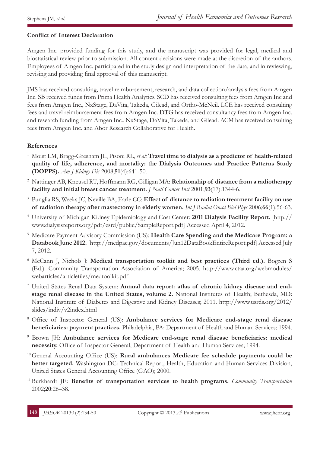# **Conflict of Interest Declaration**

Amgen Inc. provided funding for this study, and the manuscript was provided for legal, medical and biostatistical review prior to submission. All content decisions were made at the discretion of the authors. Employees of Amgen Inc. participated in the study design and interpretation of the data, and in reviewing, revising and providing final approval of this manuscript.

JMS has received consulting, travel reimbursement, research, and data collection/analysis fees from Amgen Inc. SB received funds from Prima Health Analytics. SCD has received consulting fees from Amgen Inc and fees from Amgen Inc., NxStage, DaVita, Takeda, Gilead, and Ortho-McNeil. LCE has received consulting fees and travel reimbursement fees from Amgen Inc. DTG has received consultancy fees from Amgen Inc. and research funding from Amgen Inc., NxStage, DaVita, Takeda, and Gilead. ACM has received consulting fees from Amgen Inc. and Abor Research Collaborative for Health.

## **References**

- <sup>1</sup> Moist LM, Bragg-Gresham JL, Pisoni RL, *et al:* **Travel time to dialysis as a predictor of health-related quality of life, adherence, and mortality: the Dialysis Outcomes and Practice Patterns Study (DOPPS).** *Am J Kidney Dis* 2008;**51**(4):641-50.
- <sup>2</sup> Nattinger AB, Kneusel RT, Hoffmann RG, Gilligan MA: **Relationship of distance from a radiotherapy facility and initial breast cancer treatment.** *J Natl Cancer Inst* 2001;**93**(17):1344-6.
- <sup>3</sup> Punglia RS, Weeks JC, Neville BA, Earle CC: **Effect of distance to radiation treatment facility on use of radiation therapy after mastectomy in elderly women.** *Int J Radiat Oncol Biol Phys* 2006;**66**(1):56-63.
- <sup>4</sup> University of Michigan Kidney Epidemiology and Cost Center: **2011 Dialysis Facility Report.** [http:// www.dialysisreports.org/pdf/esrd/public/SampleReport.pdf] Accessed April 4, 2012.
- <sup>5</sup> Medicare Payment Advisory Commission (US): **Health Care Spending and the Medicare Program: a Databook June 2012.** [http://medpac.gov/documents/Jun12DataBookEntireReport.pdf] Accessed July 7, 2012.
- <sup>6</sup> McCann J, Nichols J: **Medical transportation toolkit and best practices (Third ed.).** Bogren S (Ed.). Community Transportation Association of America; 2005. http://www.ctaa.org/webmodules/ webarticles/articlefiles/medtoolkit.pdf
- <sup>7</sup> United States Renal Data System: **Annual data report: atlas of chronic kidney disease and endstage renal disease in the United States, volume 2.** National Institutes of Health; Bethesda, MD: National Institute of Diabetes and Digestive and Kidney Diseases; 2011. http://www.usrds.org/2012/ slides/indiv/v2index.html
- <sup>8</sup> Office of Inspector General (US): **Ambulance services for Medicare end-stage renal disease beneficiaries: payment practices.** Philadelphia, PA: Department of Health and Human Services; 1994.
- 9 Brown JH: **Ambulance services for Medicare end-stage renal disease beneficiaries: medical necessity.** Office of Inspector General, Department of Health and Human Services; 1994.
- <sup>10</sup> General Accounting Office (US): **Rural ambulances Medicare fee schedule payments could be better targeted.** Washington DC: Technical Report, Health, Education and Human Services Division, United States General Accounting Office (GAO); 2000.
- <sup>11</sup> Burkhardt JE: **Benefits of transportation services to health programs.** *Community Transportation*  2002;**20**:26–38.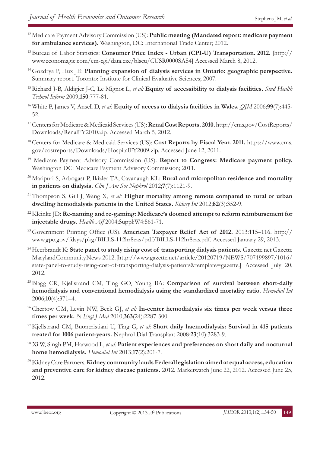- <sup>12</sup> Medicare Payment Advisory Commission (US): **Public meeting (Mandated report: medicare payment for ambulance services).** Washington, DC: International Trade Center; 2012.
- <sup>13</sup> Bureau of Labor Statistics: **Consumer Price Index Urban (CPI-U) Transportation. 2012.** [http:// www.economagic.com/em-cgi/data.exe/blscu/CUSR0000SAS4] Accessed March 8, 2012.
- <sup>14</sup> Gozdrya P, Hux JE: **Planning expansion of dialysis services in Ontario: geographic perspective.** Summary report. Toronto: Institute for Clinical Evaluative Sciences; 2007.
- <sup>15</sup> Richard J-B, Aldigier J-C, Le Mignot L, *et al:* **Equity of accessibility to dialysis facilities.** *Stud Health Technol Inform* 2009;**150**:777-81.
- <sup>16</sup> White P, James V, Ansell D, *et al:* **Equity of access to dialysis facilities in Wales.** *QJM* 2006;**99**(7):445- 52.
- <sup>17</sup> Centers for Medicare & Medicaid Services (US): **Renal Cost Reports. 2010.** http://cms.gov/CostReports/ Downloads/RenalFY2010.zip. Accessed March 5, 2012.
- <sup>18</sup> Centers for Medicare & Medicaid Services (US): **Cost Reports by Fiscal Year. 2011.** https://www.cms. gov/costreports/Downloads/HospitalFY2009.zip. Accessed June 12, 2011.
- <sup>19</sup> Medicare Payment Advisory Commission (US): **Report to Congress: Medicare payment policy.** Washington DC: Medicare Payment Advisory Commission; 2011.
- <sup>20</sup> Maripuri S, Arbogast P, Ikizler TA, Cavanaugh KL: **Rural and micropolitan residence and mortality in patients on dialysis.** *Clin J Am Soc Nephrol* 2012;**7**(7):1121-9.
- <sup>21</sup> Thompson S, Gill J, Wang X, *et al:* **Higher mortality among remote compared to rural or urban dwelling hemodialysis patients in the United States.** *Kidney Int* 2012;**82**(3):352-9.
- <sup>22</sup> Kleinke JD: **Re-naming and re-gaming: Medicare's doomed attempt to reform reimbursement for injectable drugs.** *Health Aff* 2004;Suppl:W4:561-71.
- <sup>23</sup> Government Printing Office (US). **American Taxpayer Relief Act of 2012.** 2013:115–116. http:// www.gpo.gov/fdsys/pkg/BILLS-112hr8eas/pdf/BILLS-112hr8eas.pdf. Accessed January 29, 2013.
- <sup>24</sup> Heerbrandt K: **State panel to study rising cost of transporting dialysis patients.** Gazette.net Gazette Maryland Community News. 2012. [http://www.gazette.net/article/20120719/NEWS/707199897/1016/ state-panel-to-study-rising-cost-of-transporting-dialysis-patients&template=gazette.] Accessed July 20, 2012.
- <sup>25</sup> Blagg CR, Kjellstrand CM, Ting GO, Young BA: **Comparison of survival between short-daily hemodialysis and conventional hemodialysis using the standardized mortality ratio.** *Hemodial Int*  2006;**10**(4):371–4.
- <sup>26</sup> Chertow GM, Levin NW, Beck GJ, *et al:* In-center hemodialysis six times per week versus three **times per week.** *N Engl J Med* 2010;**363**(24):2287-300.
- <sup>27</sup> Kjellstrand CM, Buoncristiani U, Ting G, *et al:* **Short daily haemodialysis: Survival in 415 patients treated for 1006 patient-years.** Nephrol Dial Transplant 2008;**23**(10):3283-9.
- 28 Xi W, Singh PM, Harwood L, *et al:* **Patient experiences and preferences on short daily and nocturnal home hemodialysis.** *Hemodial Int* 2013;**17**(2):201-7.
- 29 Kidney Care Partners. **Kidney community lauds Federal legislation aimed at equal access, education and preventive care for kidney disease patients.** 2012. Marketwatch June 22, 2012. Accessed June 25, 2012.